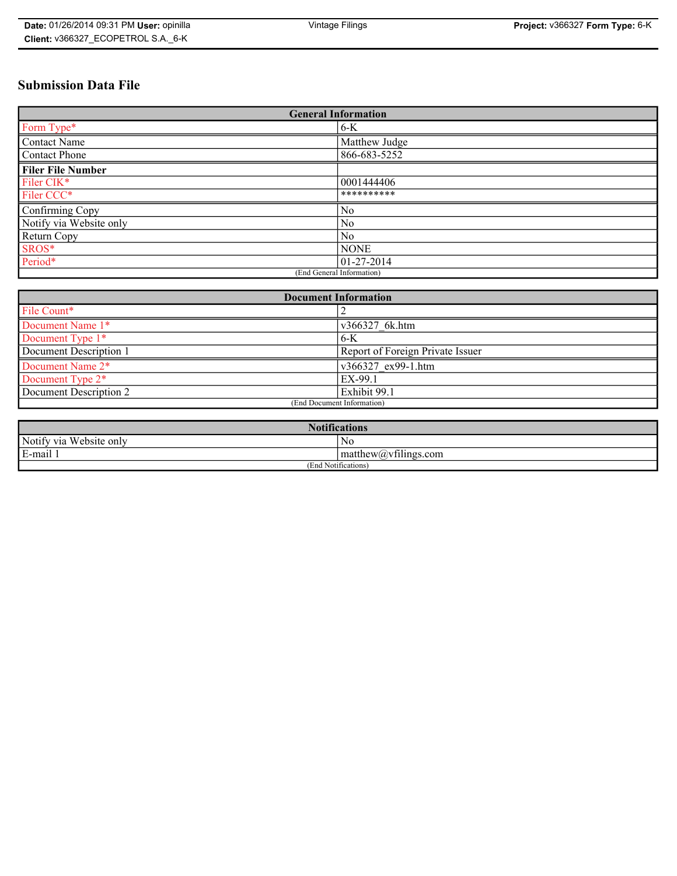# **Submission Data File**

| <b>General Information</b> |               |
|----------------------------|---------------|
| Form Type*                 | $6 - K$       |
| Contact Name               | Matthew Judge |
| Contact Phone              | 866-683-5252  |
| <b>Filer File Number</b>   |               |
| Filer CIK*                 | 0001444406    |
| Filer CCC*                 | **********    |
| Confirming Copy            | No            |
| Notify via Website only    | No            |
| <b>Return Copy</b>         | No            |
| SROS*                      | <b>NONE</b>   |
| Period*                    | 01-27-2014    |
| (End General Information)  |               |

| <b>Document Information</b> |                                         |
|-----------------------------|-----------------------------------------|
| File Count*                 |                                         |
| Document Name 1*            | v366327 6k.htm                          |
| Document Type 1*            | 6-K                                     |
| Document Description 1      | <b>Report of Foreign Private Issuer</b> |
| Document Name 2*            | $\sqrt{866327}$ ex99-1.htm              |
| Document Type 2*            | EX-99.1                                 |
| Document Description 2      | Exhibit 99.1                            |
| (End Document Information)  |                                         |

| <b>Notifications</b>       |                                           |  |
|----------------------------|-------------------------------------------|--|
| Notify via<br>Website only | N0                                        |  |
| E-mail<br><b>D</b>         | $\mathbf{matrix}(\mathbf{a}, \mathbf{v})$ |  |
| (End Notifications)        |                                           |  |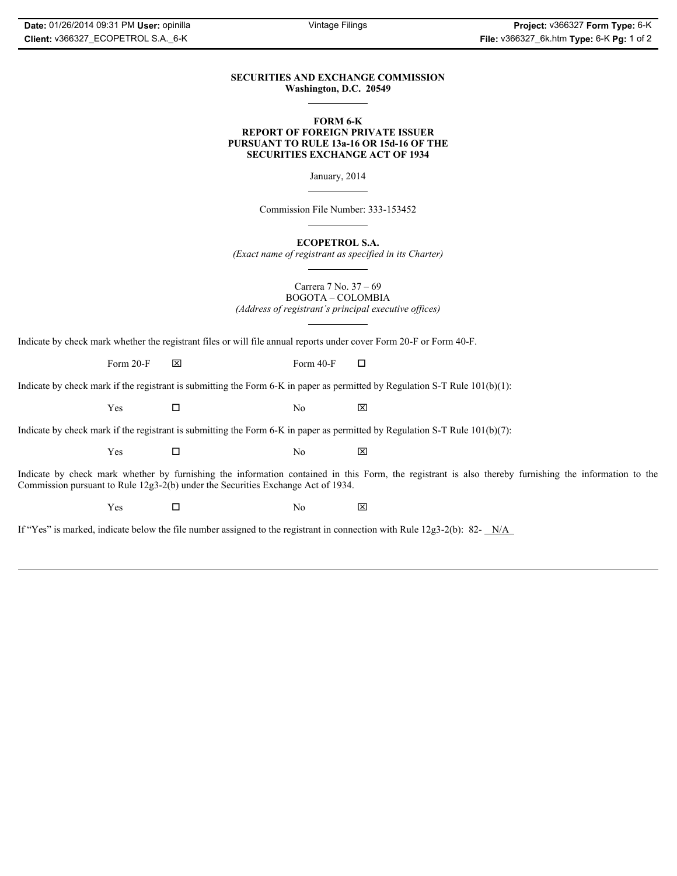## **SECURITIES AND EXCHANGE COMMISSION Washington, D.C. 20549**

 $\overline{a}$ 

### **FORM 6-K REPORT OF FOREIGN PRIVATE ISSUER PURSUANT TO RULE 13a-16 OR 15d-16 OF THE SECURITIES EXCHANGE ACT OF 1934**

January, 2014

 $\overline{a}$ 

 $\overline{a}$ 

 $\overline{a}$ 

 $\overline{a}$ 

Commission File Number: 333-153452

**ECOPETROL S.A.**

*(Exact name of registrant as specified in its Charter)*

Carrera 7 No. 37 – 69 BOGOTA – COLOMBIA

*(Address of registrant's principal executive offices)*

Indicate by check mark whether the registrant files or will file annual reports under cover Form 20-F or Form 40-F.

Form 20-F  $\boxtimes$  Form 40-F  $\Box$ 

Indicate by check mark if the registrant is submitting the Form 6-K in paper as permitted by Regulation S-T Rule 101(b)(1):

 $Yes$   $\square$  No  $X$ 

Indicate by check mark if the registrant is submitting the Form 6-K in paper as permitted by Regulation S-T Rule 101(b)(7):

 $Yes$   $\square$  No  $X$ 

Indicate by check mark whether by furnishing the information contained in this Form, the registrant is also thereby furnishing the information to the Commission pursuant to Rule 12g3-2(b) under the Securities Exchange Act of 1934.

 $Yes$   $\square$  No  $X$ 

If "Yes" is marked, indicate below the file number assigned to the registrant in connection with Rule 12g3-2(b): 82- N/A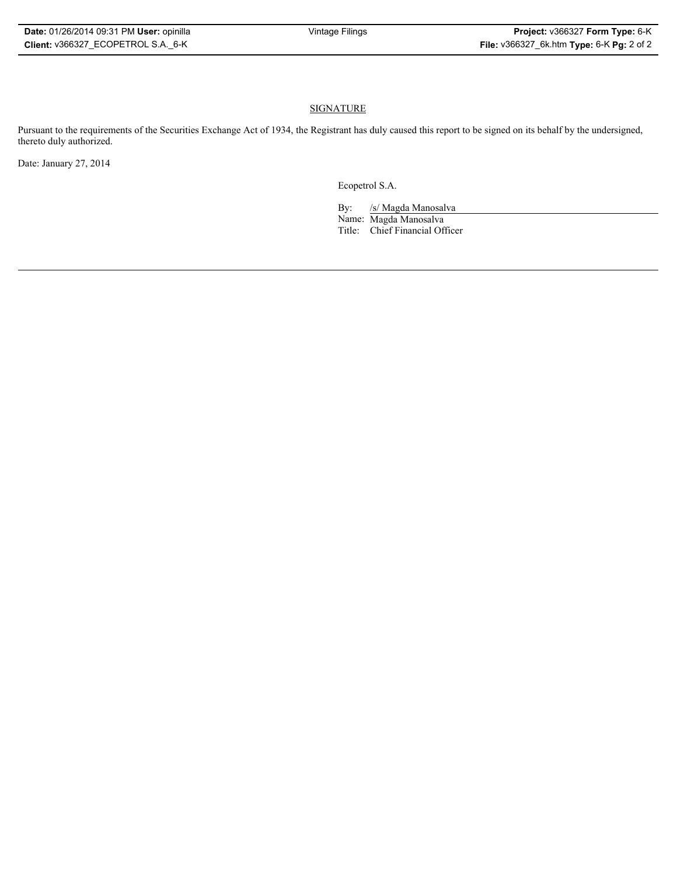# SIGNATURE

Pursuant to the requirements of the Securities Exchange Act of 1934, the Registrant has duly caused this report to be signed on its behalf by the undersigned, thereto duly authorized.

Date: January 27, 2014

Ecopetrol S.A.

By: /s/ Magda Manosalva

Name: Magda Manosalva Title: Chief Financial Officer